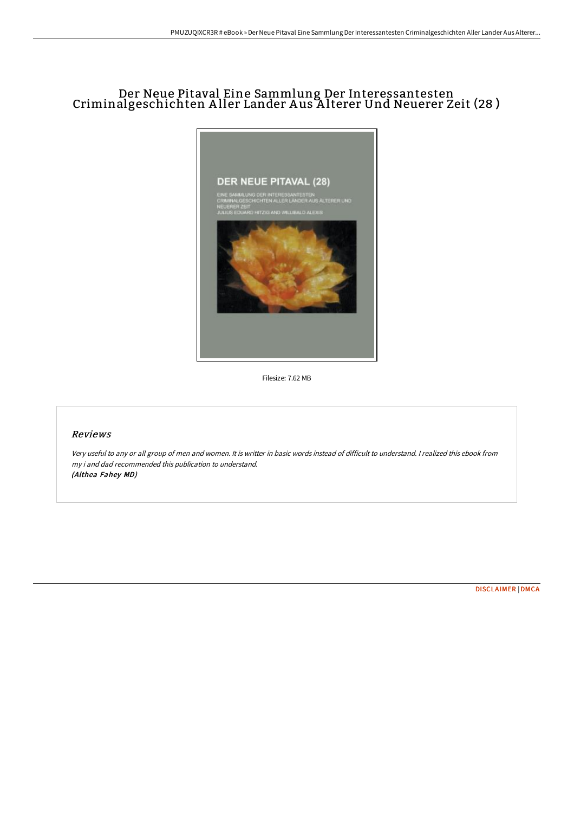## Der Neue Pitaval Eine Sammlung Der Interessantesten Criminalgeschichten A ller Lander A us A lterer Und Neuerer Zeit (28 )



Filesize: 7.62 MB

## Reviews

Very useful to any or all group of men and women. It is writter in basic words instead of difficult to understand. <sup>I</sup> realized this ebook from my i and dad recommended this publication to understand. (Althea Fahey MD)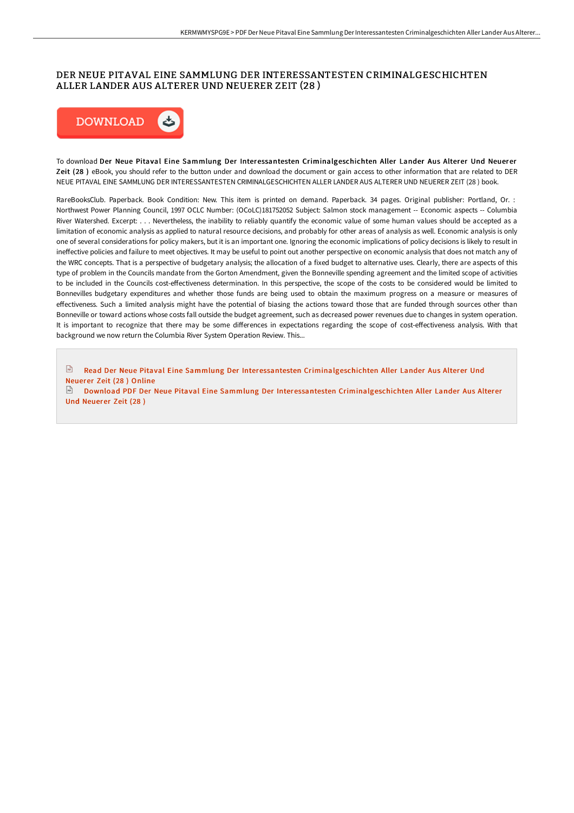## DER NEUE PITAVAL EINE SAMMLUNG DER INTERESSANTESTEN CRIMINALGESCHICHTEN ALLER LANDER AUS ALTERER UND NEUERER ZEIT (28 )



To download Der Neue Pitaval Eine Sammlung Der Interessantesten Criminalgeschichten Aller Lander Aus Alterer Und Neuerer Zeit (28 ) eBook, you should refer to the button under and download the document or gain access to other information that are related to DER NEUE PITAVAL EINE SAMMLUNG DER INTERESSANTESTEN CRIMINALGESCHICHTEN ALLER LANDER AUS ALTERER UND NEUERER ZEIT (28 ) book.

RareBooksClub. Paperback. Book Condition: New. This item is printed on demand. Paperback. 34 pages. Original publisher: Portland, Or. : Northwest Power Planning Council, 1997 OCLC Number: (OCoLC)181752052 Subject: Salmon stock management -- Economic aspects -- Columbia River Watershed. Excerpt: . . . Nevertheless, the inability to reliably quantify the economic value of some human values should be accepted as a limitation of economic analysis as applied to natural resource decisions, and probably for other areas of analysis as well. Economic analysis is only one of several considerations for policy makers, but it is an important one. Ignoring the economic implications of policy decisions is likely to result in ineffective policies and failure to meet objectives. It may be useful to point out another perspective on economic analysis that does not match any of the WRC concepts. That is a perspective of budgetary analysis; the allocation of a fixed budget to alternative uses. Clearly, there are aspects of this type of problem in the Councils mandate from the Gorton Amendment, given the Bonneville spending agreement and the limited scope of activities to be included in the Councils cost-effectiveness determination. In this perspective, the scope of the costs to be considered would be limited to Bonnevilles budgetary expenditures and whether those funds are being used to obtain the maximum progress on a measure or measures of effectiveness. Such a limited analysis might have the potential of biasing the actions toward those that are funded through sources other than Bonneville or toward actions whose costs fall outside the budget agreement, such as decreased power revenues due to changes in system operation. It is important to recognize that there may be some differences in expectations regarding the scope of cost-effectiveness analysis. With that background we now return the Columbia River System Operation Review. This...

Read Der Neue Pitaval Eine Sammlung Der Interessantesten [Criminalgeschichten](http://bookera.tech/der-neue-pitaval-eine-sammlung-der-interessantes.html) Aller Lander Aus Alterer Und Neuerer Zeit (28 ) Online

Download PDF Der Neue Pitaval Eine Sammlung Der Interessantesten [Criminalgeschichten](http://bookera.tech/der-neue-pitaval-eine-sammlung-der-interessantes.html) Aller Lander Aus Alterer Und Neuerer Zeit (28 )